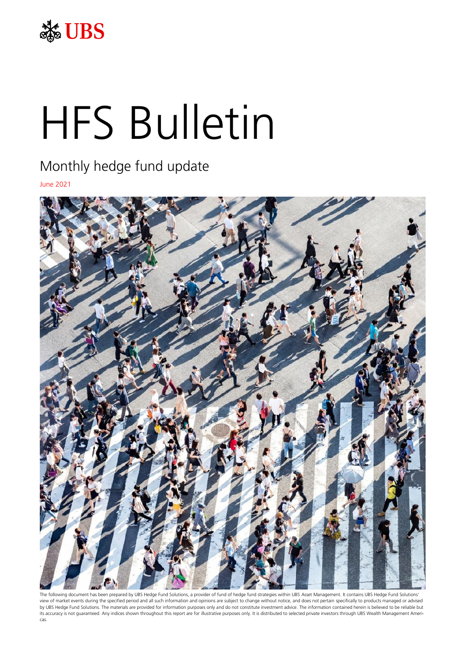

# HFS Bulletin

# Monthly hedge fund update

June 2021



The following document has been prepared by UBS Hedge Fund Solutions, a provider of fund of hedge fund strategies within UBS Asset Management. It contains UBS Hedge Fund Solutions' view of market events during the specified period and all such information and opinions are subject to change without notice, and does not pertain specifically to products managed or advised by UBS Hedge Fund Solutions. The materials are provided for information purposes only and do not constitute investment advice. The information contained herein is believed to be reliable but its accuracy is not guaranteed. Any indices shown throughout this report are for illustrative purposes only. It is distributed to selected private investors through UBS Wealth Management Americas.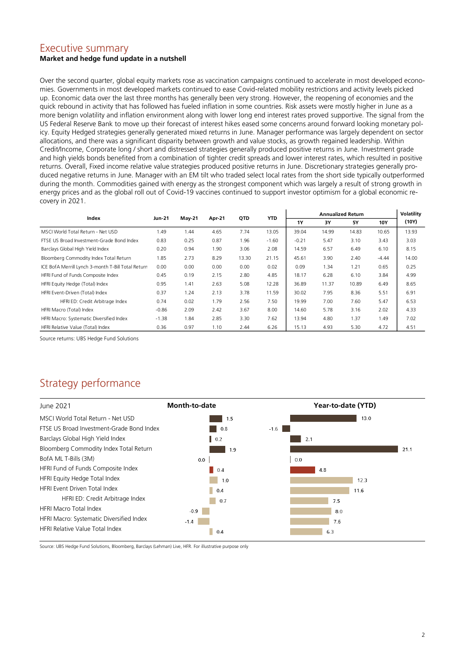# Executive summary

#### **Market and hedge fund update in a nutshell**

Over the second quarter, global equity markets rose as vaccination campaigns continued to accelerate in most developed economies. Governments in most developed markets continued to ease Covid-related mobility restrictions and activity levels picked up. Economic data over the last three months has generally been very strong. However, the reopening of economies and the quick rebound in activity that has followed has fueled inflation in some countries. Risk assets were mostly higher in June as a more benign volatility and inflation environment along with lower long end interest rates proved supportive. The signal from the US Federal Reserve Bank to move up their forecast of interest hikes eased some concerns around forward looking monetary policy. Equity Hedged strategies generally generated mixed returns in June. Manager performance was largely dependent on sector allocations, and there was a significant disparity between growth and value stocks, as growth regained leadership. Within Credit/Income, Corporate long / short and distressed strategies generally produced positive returns in June. Investment grade and high yields bonds benefited from a combination of tighter credit spreads and lower interest rates, which resulted in positive returns. Overall, Fixed income relative value strategies produced positive returns in June. Discretionary strategies generally produced negative returns in June. Manager with an EM tilt who traded select local rates from the short side typically outperformed during the month. Commodities gained with energy as the strongest component which was largely a result of strong growth in energy prices and as the global roll out of Covid-19 vaccines continued to support investor optimism for a global economic recovery in 2021.

| Index                                              | Jun-21  | <b>May-21</b> | Apr-21 | QTD   | <b>YTD</b> | <b>Annualized Return</b> |       |       |            | <b>Volatility</b> |
|----------------------------------------------------|---------|---------------|--------|-------|------------|--------------------------|-------|-------|------------|-------------------|
|                                                    |         |               |        |       |            | 1Y                       | 3Υ    | 5Υ    | <b>10Y</b> | (10Y)             |
| MSCI World Total Return - Net USD                  | 1.49    | 1.44          | 4.65   | 7.74  | 13.05      | 39.04                    | 14.99 | 14.83 | 10.65      | 13.93             |
| FTSF US Broad Investment-Grade Bond Index          | 0.83    | 0.25          | 0.87   | 1.96  | $-1.60$    | $-0.21$                  | 5.47  | 3.10  | 3.43       | 3.03              |
| Barclays Global High Yield Index                   | 0.20    | 0.94          | 1.90   | 3.06  | 2.08       | 14.59                    | 6.57  | 6.49  | 6.10       | 8.15              |
| Bloomberg Commodity Index Total Return             | 1.85    | 2.73          | 8.29   | 13.30 | 21.15      | 45.61                    | 3.90  | 2.40  | $-4.44$    | 14.00             |
| ICE BofA Merrill Lynch 3-month T-Bill Total Return | 0.00    | 0.00          | 0.00   | 0.00  | 0.02       | 0.09                     | 1.34  | 1.21  | 0.65       | 0.25              |
| HFRI Fund of Funds Composite Index                 | 0.45    | 0.19          | 2.15   | 2.80  | 4.85       | 18.17                    | 6.28  | 6.10  | 3.84       | 4.99              |
| HFRI Equity Hedge (Total) Index                    | 0.95    | 1.41          | 2.63   | 5.08  | 12.28      | 36.89                    | 11.37 | 10.89 | 6.49       | 8.65              |
| HFRI Event-Driven (Total) Index                    | 0.37    | 1.24          | 2.13   | 3.78  | 11.59      | 30.02                    | 7.95  | 8.36  | 5.51       | 6.91              |
| HFRI ED: Credit Arbitrage Index                    | 0.74    | 0.02          | 1.79   | 2.56  | 7.50       | 19.99                    | 7.00  | 7.60  | 5.47       | 6.53              |
| HFRI Macro (Total) Index                           | $-0.86$ | 2.09          | 2.42   | 3.67  | 8.00       | 14.60                    | 5.78  | 3.16  | 2.02       | 4.33              |
| HFRI Macro: Systematic Diversified Index           | $-1.38$ | 1.84          | 2.85   | 3.30  | 7.62       | 13.94                    | 4.80  | 1.37  | 1.49       | 7.02              |
| HFRI Relative Value (Total) Index                  | 0.36    | 0.97          | 1.10   | 2.44  | 6.26       | 15.13                    | 4.93  | 5.30  | 4.72       | 4.51              |

Source returns: UBS Hedge Fund Solutions

# Strategy performance

| June 2021                                 | <b>Month-to-date</b>                                    |        | Year-to-date (YTD) |      |      |
|-------------------------------------------|---------------------------------------------------------|--------|--------------------|------|------|
| MSCI World Total Return - Net USD         | 1.5                                                     |        |                    | 13.0 |      |
| FTSE US Broad Investment-Grade Bond Index | 0.8                                                     | $-1.6$ |                    |      |      |
| Barclays Global High Yield Index          | $\vert \vert$ 0.2                                       |        | 2.1                |      |      |
| Bloomberg Commodity Index Total Return    | 1.9                                                     |        |                    |      | 21.1 |
| BofA ML T-Bills (3M)                      | 0.0                                                     |        | 0.0                |      |      |
| HFRI Fund of Funds Composite Index        | 0.4                                                     |        | 4.8                |      |      |
| HFRI Equity Hedge Total Index             | 1.0                                                     |        |                    | 12.3 |      |
| HFRI Event Driven Total Index             | $\begin{array}{ c c } \hline 0.4 \\ \hline \end{array}$ |        |                    | 11.6 |      |
| HFRI ED: Credit Arbitrage Index           | 0.7                                                     |        | 7.5                |      |      |
| <b>HFRI Macro Total Index</b>             | $-0.9$                                                  |        | 8.0                |      |      |
| HFRI Macro: Systematic Diversified Index  | $-1.4$                                                  |        | 7.6                |      |      |
| <b>HERL Relative Value Total Index</b>    | п<br>0.4                                                |        | 6.3                |      |      |

Source: UBS Hedge Fund Solutions, Bloomberg, Barclays (Lehman) Live, HFR. For illustrative purpose only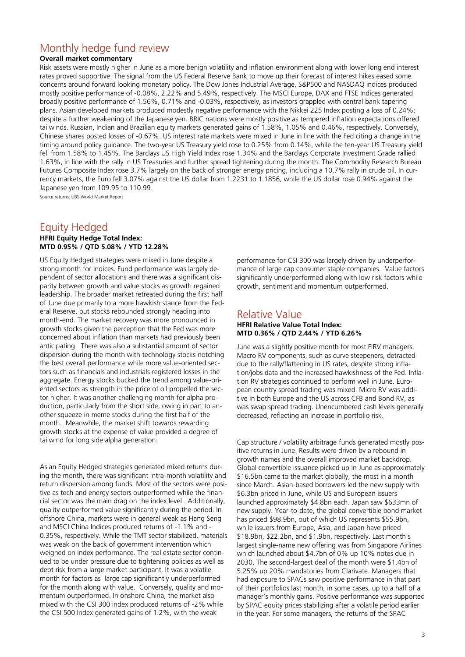## Monthly hedge fund review

#### **Overall market commentary**

Risk assets were mostly higher in June as a more benign volatility and inflation environment along with lower long end interest rates proved supportive. The signal from the US Federal Reserve Bank to move up their forecast of interest hikes eased some concerns around forward looking monetary policy. The Dow Jones Industrial Average, S&P500 and NASDAQ indices produced mostly positive performance of -0.08%, 2.22% and 5.49%, respectively. The MSCI Europe, DAX and FTSE Indices generated broadly positive performance of 1.56%, 0.71% and -0.03%, respectively, as investors grappled with central bank tapering plans. Asian developed markets produced modestly negative performance with the Nikkei 225 Index posting a loss of 0.24%; despite a further weakening of the Japanese yen. BRIC nations were mostly positive as tempered inflation expectations offered tailwinds. Russian, Indian and Brazilian equity markets generated gains of 1.58%, 1.05% and 0.46%, respectively. Conversely, Chinese shares posted losses of -0.67%. US interest rate markets were mixed in June in line with the Fed citing a change in the timing around policy guidance. The two-year US Treasury yield rose to 0.25% from 0.14%, while the ten-year US Treasury yield fell from 1.58% to 1.45%. The Barclays US High Yield Index rose 1.34% and the Barclays Corporate Investment Grade rallied 1.63%, in line with the rally in US Treasuries and further spread tightening during the month. The Commodity Research Bureau Futures Composite Index rose 3.7% largely on the back of stronger energy pricing, including a 10.7% rally in crude oil. In currency markets, the Euro fell 3.07% against the US dollar from 1.2231 to 1.1856, while the US dollar rose 0.94% against the Japanese yen from 109.95 to 110.99.

Source returns: UBS World Market Report

# Equity Hedged

#### **HFRI Equity Hedge Total Index: MTD 0.95% / QTD 5.08% / YTD 12.28%**

US Equity Hedged strategies were mixed in June despite a strong month for indices. Fund performance was largely dependent of sector allocations and there was a significant disparity between growth and value stocks as growth regained leadership. The broader market retreated during the first half of June due primarily to a more hawkish stance from the Federal Reserve, but stocks rebounded strongly heading into month-end. The market recovery was more pronounced in growth stocks given the perception that the Fed was more concerned about inflation than markets had previously been anticipating. There was also a substantial amount of sector dispersion during the month with technology stocks notching the best overall performance while more value-oriented sectors such as financials and industrials registered losses in the aggregate. Energy stocks bucked the trend among value-oriented sectors as strength in the price of oil propelled the sector higher. It was another challenging month for alpha production, particularly from the short side, owing in part to another squeeze in meme stocks during the first half of the month. Meanwhile, the market shift towards rewarding growth stocks at the expense of value provided a degree of tailwind for long side alpha generation.

Asian Equity Hedged strategies generated mixed returns during the month, there was significant intra-month volatility and return dispersion among funds. Most of the sectors were positive as tech and energy sectors outperformed while the financial sector was the main drag on the index level. Additionally, quality outperformed value significantly during the period. In offshore China, markets were in general weak as Hang Seng and MSCI China Indices produced returns of -1.1% and - 0.35%, respectively. While the TMT sector stabilized, materials was weak on the back of government intervention which weighed on index performance. The real estate sector continued to be under pressure due to tightening policies as well as debt risk from a large market participant. It was a volatile month for factors as large cap significantly underperformed for the month along with value. Conversely, quality and momentum outperformed. In onshore China, the market also mixed with the CSI 300 index produced returns of -2% while the CSI 500 Index generated gains of 1.2%, with the weak

performance for CSI 300 was largely driven by underperformance of large cap consumer staple companies. Value factors significantly underperformed along with low risk factors while growth, sentiment and momentum outperformed.

### Relative Value

#### **HFRI Relative Value Total Index: MTD 0.36% / QTD 2.44% / YTD 6.26%**

June was a slightly positive month for most FIRV managers. Macro RV components, such as curve steepeners, detracted due to the rally/flattening in US rates, despite strong inflation/jobs data and the increased hawkishness of the Fed. Inflation RV strategies continued to perform well in June. European country spread trading was mixed. Micro RV was additive in both Europe and the US across CFB and Bond RV, as was swap spread trading. Unencumbered cash levels generally decreased, reflecting an increase in portfolio risk.

Cap structure / volatility arbitrage funds generated mostly positive returns in June. Results were driven by a rebound in growth names and the overall improved market backdrop. Global convertible issuance picked up in June as approximately \$16.5bn came to the market globally, the most in a month since March. Asian-based borrowers led the new supply with \$6.3bn priced in June, while US and European issuers launched approximately \$4.8bn each. Japan saw \$633mn of new supply. Year-to-date, the global convertible bond market has priced \$98.9bn, out of which US represents \$55.9bn, while issuers from Europe, Asia, and Japan have priced \$18.9bn, \$22.2bn, and \$1.9bn, respectively. Last month's largest single-name new offering was from Singapore Airlines which launched about \$4.7bn of 0% up 10% notes due in 2030. The second-largest deal of the month were \$1.4bn of 5.25% up 20% mandatories from Clarivate. Managers that had exposure to SPACs saw positive performance in that part of their portfolios last month, in some cases, up to a half of a manager's monthly gains. Positive performance was supported by SPAC equity prices stabilizing after a volatile period earlier in the year. For some managers, the returns of the SPAC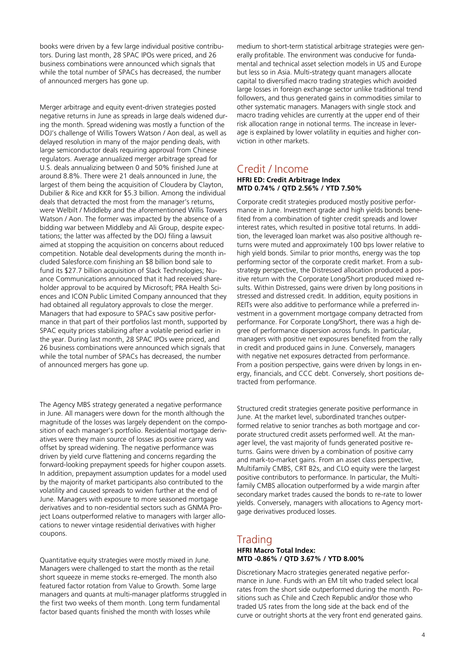books were driven by a few large individual positive contributors. During last month, 28 SPAC IPOs were priced, and 26 business combinations were announced which signals that while the total number of SPACs has decreased, the number of announced mergers has gone up.

Merger arbitrage and equity event-driven strategies posted negative returns in June as spreads in large deals widened during the month. Spread widening was mostly a function of the DOJ's challenge of Willis Towers Watson / Aon deal, as well as delayed resolution in many of the major pending deals, with large semiconductor deals requiring approval from Chinese regulators. Average annualized merger arbitrage spread for U.S. deals annualizing between 0 and 50% finished June at around 8.8%. There were 21 deals announced in June, the largest of them being the acquisition of Cloudera by Clayton, Dubilier & Rice and KKR for \$5.3 billion. Among the individual deals that detracted the most from the manager's returns, were Welbilt / Middleby and the aforementioned Willis Towers Watson / Aon. The former was impacted by the absence of a bidding war between Middleby and Ali Group, despite expectations; the latter was affected by the DOJ filing a lawsuit aimed at stopping the acquisition on concerns about reduced competition. Notable deal developments during the month included Salesforce.com finishing an \$8 billion bond sale to fund its \$27.7 billion acquisition of Slack Technologies; Nuance Communications announced that it had received shareholder approval to be acquired by Microsoft; PRA Health Sciences and ICON Public Limited Company announced that they had obtained all regulatory approvals to close the merger. Managers that had exposure to SPACs saw positive performance in that part of their portfolios last month, supported by SPAC equity prices stabilizing after a volatile period earlier in the year. During last month, 28 SPAC IPOs were priced, and 26 business combinations were announced which signals that while the total number of SPACs has decreased, the number of announced mergers has gone up.

The Agency MBS strategy generated a negative performance in June. All managers were down for the month although the magnitude of the losses was largely dependent on the composition of each manager's portfolio. Residential mortgage derivatives were they main source of losses as positive carry was offset by spread widening. The negative performance was driven by yield curve flattening and concerns regarding the forward-looking prepayment speeds for higher coupon assets. In addition, prepayment assumption updates for a model used by the majority of market participants also contributed to the volatility and caused spreads to widen further at the end of June. Managers with exposure to more seasoned mortgage derivatives and to non-residential sectors such as GNMA Project Loans outperformed relative to managers with larger allocations to newer vintage residential derivatives with higher coupons.

Quantitative equity strategies were mostly mixed in June. Managers were challenged to start the month as the retail short squeeze in meme stocks re-emerged. The month also featured factor rotation from Value to Growth. Some large managers and quants at multi-manager platforms struggled in the first two weeks of them month. Long term fundamental factor based quants finished the month with losses while

medium to short-term statistical arbitrage strategies were generally profitable. The environment was conducive for fundamental and technical asset selection models in US and Europe but less so in Asia. Multi-strategy quant managers allocate capital to diversified macro trading strategies which avoided large losses in foreign exchange sector unlike traditional trend followers, and thus generated gains in commodities similar to other systematic managers. Managers with single stock and macro trading vehicles are currently at the upper end of their risk allocation range in notional terms. The increase in leverage is explained by lower volatility in equities and higher conviction in other markets.

#### Credit / Income **HFRI ED: Credit Arbitrage Index MTD 0.74% / QTD 2.56% / YTD 7.50%**

Corporate credit strategies produced mostly positive performance in June. Investment grade and high yields bonds benefited from a combination of tighter credit spreads and lower interest rates, which resulted in positive total returns. In addition, the leveraged loan market was also positive although returns were muted and approximately 100 bps lower relative to high yield bonds. Similar to prior months, energy was the top performing sector of the corporate credit market. From a substrategy perspective, the Distressed allocation produced a positive return with the Corporate Long/Short produced mixed results. Within Distressed, gains were driven by long positions in stressed and distressed credit. In addition, equity positions in REITs were also additive to performance while a preferred investment in a government mortgage company detracted from performance. For Corporate Long/Short, there was a high degree of performance dispersion across funds. In particular, managers with positive net exposures benefited from the rally in credit and produced gains in June. Conversely, managers with negative net exposures detracted from performance. From a position perspective, gains were driven by longs in energy, financials, and CCC debt. Conversely, short positions detracted from performance.

Structured credit strategies generate positive performance in June. At the market level, subordinated tranches outperformed relative to senior tranches as both mortgage and corporate structured credit assets performed well. At the manager level, the vast majority of funds generated positive returns. Gains were driven by a combination of positive carry and mark-to-market gains. From an asset class perspective, Multifamily CMBS, CRT B2s, and CLO equity were the largest positive contributors to performance. In particular, the Multifamily CMBS allocation outperformed by a wide margin after secondary market trades caused the bonds to re-rate to lower yields. Conversely, managers with allocations to Agency mortgage derivatives produced losses.

# Trading

#### **HFRI Macro Total Index: MTD -0.86% / QTD 3.67% / YTD 8.00%**

Discretionary Macro strategies generated negative performance in June. Funds with an EM tilt who traded select local rates from the short side outperformed during the month. Positions such as Chile and Czech Republic and/or those who traded US rates from the long side at the back end of the curve or outright shorts at the very front end generated gains.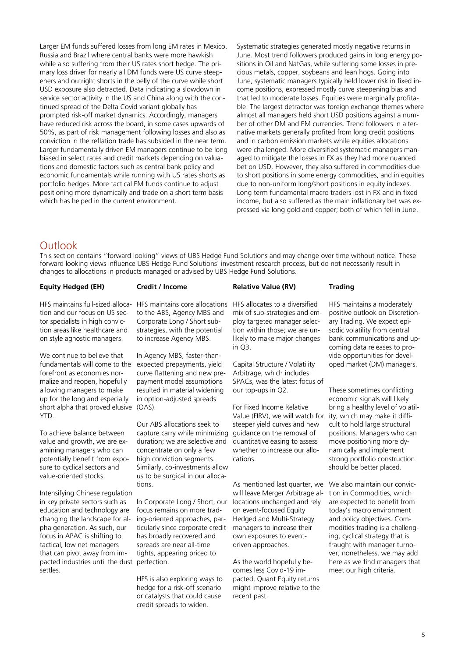Larger EM funds suffered losses from long EM rates in Mexico, Russia and Brazil where central banks were more hawkish while also suffering from their US rates short hedge. The primary loss driver for nearly all DM funds were US curve steepeners and outright shorts in the belly of the curve while short USD exposure also detracted. Data indicating a slowdown in service sector activity in the US and China along with the continued spread of the Delta Covid variant globally has prompted risk-off market dynamics. Accordingly, managers have reduced risk across the board, in some cases upwards of 50%, as part of risk management following losses and also as conviction in the reflation trade has subsided in the near term. Larger fundamentally driven EM managers continue to be long biased in select rates and credit markets depending on valuations and domestic factors such as central bank policy and economic fundamentals while running with US rates shorts as portfolio hedges. More tactical EM funds continue to adjust positioning more dynamically and trade on a short term basis which has helped in the current environment.

Systematic strategies generated mostly negative returns in June. Most trend followers produced gains in long energy positions in Oil and NatGas, while suffering some losses in precious metals, copper, soybeans and lean hogs. Going into June, systematic managers typically held lower risk in fixed income positions, expressed mostly curve steepening bias and that led to moderate losses. Equities were marginally profitable. The largest detractor was foreign exchange themes where almost all managers held short USD positions against a number of other DM and EM currencies. Trend followers in alternative markets generally profited from long credit positions and in carbon emission markets while equities allocations were challenged. More diversified systematic managers managed to mitigate the losses in FX as they had more nuanced bet on USD. However, they also suffered in commodities due to short positions in some energy commodities, and in equities due to non-uniform long/short positions in equity indexes. Long term fundamental macro traders lost in FX and in fixed income, but also suffered as the main inflationary bet was expressed via long gold and copper; both of which fell in June.

#### Outlook

This section contains "forward looking" views of UBS Hedge Fund Solutions and may change over time without notice. These forward looking views influence UBS Hedge Fund Solutions' investment research process, but do not necessarily result in changes to allocations in products managed or advised by UBS Hedge Fund Solutions.

#### **Equity Hedged (EH)**

#### **Credit / Income**

**Relative Value (RV)**

HFS maintains full-sized alloca-HFS maintains core allocations HFS allocates to a diversified tion and our focus on US sector specialists in high conviction areas like healthcare and on style agnostic managers.

We continue to believe that fundamentals will come to the forefront as economies normalize and reopen, hopefully allowing managers to make up for the long and especially short alpha that proved elusive YTD.

To achieve balance between value and growth, we are examining managers who can potentially benefit from exposure to cyclical sectors and value-oriented stocks.

Intensifying Chinese regulation in key private sectors such as education and technology are changing the landscape for alpha generation. As such, our focus in APAC is shifting to tactical, low net managers that can pivot away from impacted industries until the dust perfection. settles.

to the ABS, Agency MBS and Corporate Long / Short substrategies, with the potential to increase Agency MBS.

In Agency MBS, faster-thanexpected prepayments, yield curve flattening and new prepayment model assumptions resulted in material widening in option-adjusted spreads  $(OAS)$ 

Our ABS allocations seek to capture carry while minimizing duration; we are selective and concentrate on only a few high conviction segments. Similarly, co-investments allow us to be surgical in our allocations.

In Corporate Long / Short, our focus remains on more trading-oriented approaches, particularly since corporate credit has broadly recovered and spreads are near all-time tights, appearing priced to

HFS is also exploring ways to hedge for a risk-off scenario or catalysts that could cause credit spreads to widen.

mix of sub-strategies and employ targeted manager selection within those; we are unlikely to make major changes in Q3.

Capital Structure / Volatility Arbitrage, which includes SPACs, was the latest focus of our top-ups in Q2.

For Fixed Income Relative Value (FIRV), we will watch for steeper yield curves and new guidance on the removal of quantitative easing to assess whether to increase our allocations.

As mentioned last quarter, we will leave Merger Arbitrage allocations unchanged and rely on event-focused Equity Hedged and Multi-Strategy managers to increase their own exposures to eventdriven approaches.

As the world hopefully becomes less Covid-19 impacted, Quant Equity returns might improve relative to the recent past.

#### **Trading**

HFS maintains a moderately positive outlook on Discretionary Trading. We expect episodic volatility from central bank communications and upcoming data releases to provide opportunities for developed market (DM) managers.

These sometimes conflicting economic signals will likely bring a healthy level of volatility, which may make it difficult to hold large structural positions. Managers who can move positioning more dynamically and implement strong portfolio construction should be better placed.

We also maintain our conviction in Commodities, which are expected to benefit from today's macro environment and policy objectives. Commodities trading is a challenging, cyclical strategy that is fraught with manager turnover; nonetheless, we may add here as we find managers that meet our high criteria.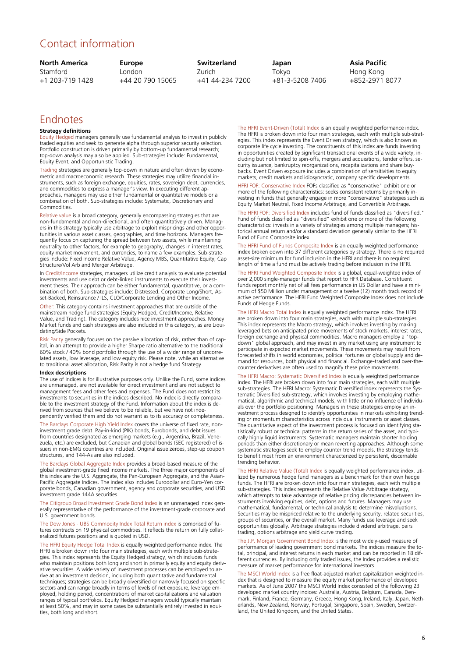# Contact information

| <b>North America</b> | <b>Europe</b>    | <b>Switzerland</b> | Japan           |
|----------------------|------------------|--------------------|-----------------|
| Stamford             | London           | Zurich.            | Tokvo           |
| +1 203-719 1428      | +44 20 790 15065 | +41 44-234 7200    | +81-3-5208 7406 |

#### **Asia Pacific** Hong Kong +852-2971 8077

# Endnotes

#### **Strategy definitions**

Equity Hedged managers generally use fundamental analysis to invest in publicly traded equities and seek to generate alpha through superior security selection. Portfolio construction is driven primarily by bottom-up fundamental research; top-down analysis may also be applied. Sub-strategies include: Fundamental, Equity Event, and Opportunistic Trading.

Trading strategies are generally top-down in nature and often driven by econometric and macroeconomic research. These strategies may utilize financial in-struments, such as foreign exchange, equities, rates, sovereign debt, currencies, and commodities to express a manager's view. In executing different approaches, managers may use either fundamental or quantitative models or a combination of both. Sub-strategies include: Systematic, Discretionary and Commodities.

Relative value is a broad category, generally encompassing strategies that are non-fundamental and non-directional, and often quantitatively driven. Managers in this strategy typically use arbitrage to exploit mispricings and other opportunities in various asset classes, geographies, and time horizons. Managers frequently focus on capturing the spread between two assets, while maintaining neutrality to other factors, for example to geography, changes in interest rates, equity market movement, and currencies, to name a few examples. Sub-strategies include: Fixed Income Relative Value, Agency MBS, Quantitative Equity, Cap Structure/Vol Arb and Merger Arbitrage.

In Credit/Income strategies, managers utilize credit analysis to evaluate potential investments and use debt or debt-linked instruments to execute their investment theses. Their approach can be either fundamental, quantitative, or a com-bination of both. Sub-strategies include: Distressed, Corporate Long/Short, Asset-Backed, Reinsurance / ILS, CLO/Corporate Lending and Other Income

Other: This category contains investment approaches that are outside of the mainstream hedge fund strategies (Equity Hedged, Credit/Income, Relative Value, and Trading). The category includes nice investment approaches. Money Market funds and cash strategies are also included in this category, as are Liquidating/Side Pockets.

Risk Parity generally focuses on the passive allocation of risk, rather than of capital, in an attempt to provide a higher Sharpe ratio alternative to the traditional 60% stock / 40% bond portfolio through the use of a wider range of uncorrelated assets, low leverage, and low equity risk. Please note, while an alternative to traditional asset allocation, Risk Parity is not a hedge fund Strategy.

#### **Index descriptions**

The use of indices is for illustrative purposes only. Unlike the Fund, some indices are unmanaged, are not available for direct investment and are not subject to management fees and other fees and expenses. The Fund does not restrict its investments to securities in the indices described. No index is directly compara-ble to the investment strategy of the Fund. Information about the index is derived from sources that we believe to be reliable, but we have not independently verified them and do not warrant as to its accuracy or completen

The Barclays Corporate High Yield Index covers the universe of fixed rate, non-investment grade debt. Pay-in-kind (PIK) bonds, Eurobonds, and debt issues from countries designated as emerging markets (e.g., Argentina, Brazil, Vene-<br>zuela, etc.) are excluded, but Canadian and global bonds (SEC registered) of is-<br>suers in non-EMG countries are included. Original issue zeroes, structures, and 144-As are also included.

The Barclays Global Aggregate Index provides a broad-based measure of the global investment-grade fixed income markets. The three major components of this index are the U.S. Aggregate, the Pan-European Aggregate, and the Asian-Pacific Aggregate Indices. The index also includes Eurodollar and Euro-Yen corporate bonds, Canadian government, agency and corporate securities, and USD investment grade 144A securities.

The Citigroup Broad Investment Grade Bond Index is an unmanaged index generally representative of the performance of the investment-grade corporate and U.S. government bonds.

The Dow Jones - UBS Commodity Index Total Return index is comprised of futures contracts on 19 physical commodities. It reflects the return on fully collateralized futures positions and is quoted in USD.

The HFRI Equity Hedge Total Index is equally weighted performance index. The HFRI is broken down into four main strategies, each with multiple sub-strate-<br>gies. This index represents the Equity Hedged strategy, which includes funds<br>who maintain positions both long and short in primarily equity and ative securities. A wide variety of investment processes can be employed to arrive at an investment decision, including both quantitative and fundamental techniques; strategies can be broadly diversified or narrowly focused on specific sectors and can range broadly in terms of levels of net exposure, leverage employed, holding period, concentrations of market capitalizations and valuation ranges of typical portfolios. Equity Hedged managers would typically maintain at least 50%, and may in some cases be substantially entirely invested in equities, both long and short.

The HFRI Event-Driven (Total) Index is an equally weighted performance index. The HFRI is broken down into four main strategies, each with multiple sub-strategies. This index represents the Event Driven strategy, which is also known as corporate life cycle investing. The constituents of this index are funds investing in opportunities created by significant transactional events of a wide variety, including but not limited to spin-offs, mergers and acquisitions, tender offers, security issuance, bankruptcy reorganizations, recapitalizations and share buybacks. Event Driven exposure includes a combination of sensitivities to equity markets, credit markets and idiosyncratic, company specific developments.

HFRI FOF: Conservative Index FOFs classified as "conservative" exhibit one or more of the following characteristics: seeks consistent returns by primarily investing in funds that generally engage in more "conservative" strategies such as Equity Market Neutral, Fixed Income Arbitrage, and Convertible Arbitrage.

The HFRI FOF: Diversified Index includes fund of funds classified as "diversified." Fund of funds classified as "diversified" exhibit one or more of the following characteristics: invests in a variety of strategies among multiple managers; historical annual return and/or a standard deviation generally similar to the HFRI Fund of Fund Composite index.

The HFRI Fund of Funds Composite Index is an equally weighted performance index broken down into 37 different categories by strategy. There is no required asset-size minimum for fund inclusion in the HFRI and there is no required length of time a fund must be actively trading before inclusion in the HFRI.

The HFRI Fund Weighted Composite Index is a global, equal-weighted index of over 2,000 single-manager funds that report to HFR Database. Constituent funds report monthly net of all fees performance in US Dollar and have a minimum of \$50 Million under management or a twelve (12) month track record of active performance. The HFRI Fund Weighted Composite Index does not include Funds of Hedge Funds.

The HFRI Macro Total Index is equally weighted performance index. The HFRI are broken down into four main strategies, each with multiple sub-strategies. This index represents the Macro strategy, which involves investing by making leveraged bets on anticipated price movements of stock markets, interest rates, foreign exchange and physical commodities. Macro managers employ a "top-down" global approach, and may invest in any market using any instrument to participate in expected market movements. These movements may result from forecasted shifts in world economies, political fortunes or global supply and de-mand for resources, both physical and financial. Exchange-traded and over-thecounter derivatives are often used to magnify these price movements.

The HFRI Macro: Systematic Diversified Index is equally weighted performance index. The HFRI are broken down into four main strategies, each with multiple sub-strategies. The HFRI Macro: Systematic Diversified Index represents the Systematic Diversified sub-strategy, which involves investing by employing mathe-matical, algorithmic and technical models, with little or no influence of individuals over the portfolio positioning. Managers in these strategies employ an investment process designed to identify opportunities in markets exhibiting trending or momentum characteristics across individual instruments or asset classes. The quantitative aspect of the investment process is focused on identifying statistically robust or technical patterns in the return series of the asset, and typically highly liquid instruments. Systematic managers maintain shorter holding periods than either discretionary or mean reverting approaches. Although some systematic strategies seek to employ counter trend models, the strategy tends to benefit most from an environment characterized by persistent, discernable trending behavior.

The HFRI Relative Value (Total) Index is equally weighted performance index, utilized by numerous hedge fund managers as a benchmark for their own hedge funds. The HFRI are broken down into four main strategies, each with multiple sub-strategies. This index represents the Relative Value Arbitrage strategy, which attempts to take advantage of relative pricing discrepancies between instruments involving equities, debt, options and futures. Managers may use mathematical, fundamental, or technical analysis to determine misvaluations. Securities may be mispriced relative to the underlying security, related securities, groups of securities, or the overall market. Many funds use leverage and seek opportunities globally. Arbitrage strategies include dividend arbitrage, pairs trading, options arbitrage and yield curve trading.

The J.P. Morgan Government Bond Index is the most widely-used measure of performance of leading government bond markets. The indices measure the total, principal, and interest returns in each market and can be reported in 18 different currencies. By including only traded issues, the Index provides a realistic measure of market performance for international investors

The MSCI World Index is a free float-adjusted market capitalization weighted index that is designed to measure the equity market performance of developed markets. As of June 2007 the MSCI World Index consisted of the following 23 developed market country indices: Australia, Austria, Belgium, Canada, Den-<br>mark, Finland, France, Germany, Greece, Hong Kong, Ireland, Italy, Japan, Neth-<br>erlands, New Zealand, Norway, Portugal, Singapore, Spain, Sweden,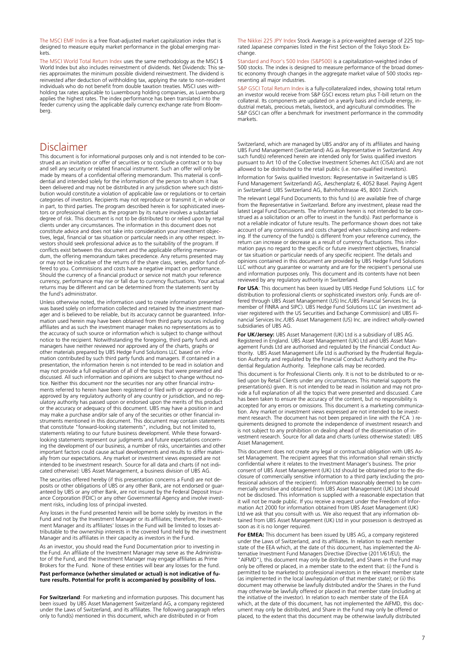The MSCI EMF Index is a free float-adjusted market capitalization index that is designed to measure equity market performance in the global emerging markets.

The MSCI World Total Return Index uses the same methodology as the MSCI \$ World Index but also includes reinvestment of dividends. Net Dividends: This series approximates the minimum possible dividend reinvestment. The dividend is reinvested after deduction of withholding tax, applying the rate to non-resident individuals who do not benefit from double taxation treaties. MSCI uses withholding tax rates applicable to Luxembourg holding companies, as Luxembourg applies the highest rates. The index performance has been translated into the feeder currency using the applicable daily currency exchange rate from Bloomberg.

#### Disclaimer

This document is for informational purposes only and is not intended to be construed as an invitation or offer of securities or to conclude a contract or to buy and sell any security or related financial instrument. Such an offer will only be made by means of a confidential offering memorandum. This material is confidential and intended solely for the information of the person to whom it has been delivered and may not be distributed in any jurisdiction where such distribution would constitute a violation of applicable law or regulations or to certain categories of investors. Recipients may not reproduce or transmit it, in whole or in part, to third parties. The program described herein is for sophisticated investors or professional clients as the program by its nature involves a substantial degree of risk. This document is not to be distributed to or relied upon by retail clients under any circumstances. The information in this document does not constitute advice and does not take into consideration your investment objectives, legal, financial or tax situation or particular needs in any other respect. Investors should seek professional advice as to the suitability of the program. If conflicts exist between this document and the applicable offering memorandum, the offering memorandum takes precedence. Any returns presented may or may not be indicative of the returns of the share class, series, and/or fund offered to you. Commissions and costs have a negative impact on performance. Should the currency of a financial product or service not match your reference currency, performance may rise or fall due to currency fluctuations. Your actual returns may be different and can be determined from the statements sent by the fund's administrator.

Unless otherwise noted, the information used to create information presented was based solely on information collected and retained by the investment manager and is believed to be reliable, but its accuracy cannot be guaranteed. Information used herein may have been obtained from third party sources including affiliates and as such the investment manager makes no representations as to the accuracy of such source or information which is subject to change without notice to the recipient. Notwithstanding the foregoing, third party funds and managers have neither reviewed nor approved any of the charts, graphs or other materials prepared by UBS Hedge Fund Solutions LLC based on information contributed by such third party funds and managers. If contained in a presentation, the information herein is not intended to be read in isolation and may not provide a full explanation of all of the topics that were presented and discussed. All such information and opinions are subject to change without notice. Neither this document nor the securities nor any other financial instruments referred to herein have been registered or filed with or approved or disapproved by any regulatory authority of any country or jurisdiction, and no regulatory authority has passed upon or endorsed upon the merits of this product or the accuracy or adequacy of this document. UBS may have a position in and may make a purchase and/or sale of any of the securities or other financial instruments mentioned in this document. This document may contain statements that constitute "forward-looking statements", including, but not limited to, statements relating to our future business development. While these forwardlooking statements represent our judgments and future expectations concerning the development of our business, a number of risks, uncertainties and other important factors could cause actual developments and results to differ materially from our expectations. Any market or investment views expressed are not intended to be investment research. Source for all data and charts (if not indicated otherwise): UBS Asset Management, a business division of UBS AG.

The securities offered hereby (if this presentation concerns a Fund) are not de-posits or other obligations of UBS or any other Bank, are not endorsed or guaranteed by UBS or any other Bank, are not insured by the Federal Deposit Insurance Corporation (FDIC) or any other Governmental Agency and involve investment risks, including loss of principal invested.

Any losses in the Fund presented herein will be borne solely by investors in the Fund and not by the Investment Manager or its affiliates; therefore, the Investment Manager and its affiliates' losses in the Fund will be limited to losses attributable to the ownership interests in the covered fund held by the investment Manager and its affiliates in their capacity as investors in the Fund.

As an investor, you should read the Fund Documentation prior to investing in the Fund. An affiliate of the Investment Manager may serve as the Administrator of the Fund, and the Investment Manager may engage affiliates as Prime Brokers for the Fund. None of these entities will bear any losses for the fund.

**Past performance (whether simulated or actual) is not indicative of future results. Potential for profit is accompanied by possibility of loss.**

**For Switzerland**: For marketing and information purposes. This document has been issued by UBS Asset Management Switzerland AG, a company registered under the Laws of Switzerland, and its affiliates. The following paragraph refers only to fund(s) mentioned in this document, which are distributed in or from

The Nikkei 225 JPY Index Stock Average is a price-weighted average of 225 toprated Japanese companies listed in the First Section of the Tokyo Stock Exchange.

Standard and Poor's 500 Index (S&P500) is a capitalization-weighted index of 500 stocks. The index is designed to measure performance of the broad domestic economy through changes in the aggregate market value of 500 stocks representing all major industries.

S&P GSCI Total Return Index is a fully-collateralized index, showing total return an investor would receive from S&P GSCI excess return plus T-bill return on the collateral. Its components are updated on a yearly basis and include energy, industrial metals, precious metals, livestock, and agricultural commodities. The S&P GSCI can offer a benchmark for investment performance in the commodity markets.

Switzerland, which are managed by UBS and/or any of its affiliates and having UBS Fund Management (Switzerland) AG as Representative in Switzerland. Any such fund(s) referenced herein are intended only for Swiss qualified investors pursuant to Art 10 of the Collective Investment Schemes Act (CISA) and are not allowed to be distributed to the retail public (i.e. non-qualified investors).

Information for Swiss qualified Investors: Representative in Switzerland is UBS Fund Management Switzerland) AG, Aeschenplatz 6, 4052 Basel. Paying Agent in Switzerland: UBS Switzerland AG, Bahnhofstrasse 45, 8001 Zürich.

The relevant Legal Fund Documents to this fund (s) are available free of charge from the Representative in Switzerland. Before any investment, please read the latest Legal Fund Documents. The information herein is not intended to be construed as a solicitation or an offer to invest in the fund(s). Past performance is not a reliable indicator of future results. The performance shown does not take account of any commissions and costs charged when subscribing and redeeming. If the currency of the fund(s) is different from your reference currency, the return can increase or decrease as a result of currency fluctuations. This information pays no regard to the specific or future investment objectives, financial or tax situation or particular needs of any specific recipient. The details and opinions contained in this document are provided by UBS Hedge Fund Solutions LLC without any guarantee or warranty and are for the recipient's personal use and information purposes only. This document and its contents have not been reviewed by any regulatory authority in Switzerland.

**For USA**: This document has been issued by UBS Hedge Fund Solutions LLC for distribution to professional clients or sophisticated investors only. Funds are offered through UBS Asset Management (US) Inc./UBS Financial Services Inc. (a member of FINRA and SIPC). UBS Hedge Fund Solutions LLC (an investment adviser registered with the US Securities and Exchange Commission) and UBS Financial Services Inc./UBS Asset Management (US) Inc. are indirect wholly-owned subsidiaries of UBS AG.

**For UK/Jersey:** UBS Asset Management (UK) Ltd is a subsidiary of UBS AG. Registered in England. UBS Asset Management (UK) Ltd and UBS Asset Management Funds Ltd are authorised and regulated by the Financial Conduct Authority. UBS Asset Management Life Ltd is authorised by the Prudential Regulation Authority and regulated by the Financial Conduct Authority and the Prudential Regulation Authority. Telephone calls may be recorded.

This document is for Professional Clients only. It is not to be distributed to or relied upon by Retail Clients under any circumstances. This material supports the presentation(s) given. It is not intended to be read in isolation and may not provide a full explanation of all the topics that were presented and discussed. Care has been taken to ensure the accuracy of the content, but no responsibility is accepted for any errors or omissions. This document is a marketing communication. Any market or investment views expressed are not intended to be investment research. The document has not been prepared in line with the FCA ) requirements designed to promote the independence of investment research and is not subject to any prohibition on dealing ahead of the dissemination of investment research. Source for all data and charts (unless otherwise stated): UBS Asset Management.

This document does not create any legal or contractual obligation with UBS Asset Management. The recipient agrees that this information shall remain strictly confidential where it relates to the Investment Manager's business. The prior consent of UBS Asset Management (UK) Ltd should be obtained prior to the disclosure of commercially sensitive information to a third party (excluding the professional advisors of the recipient). Information reasonably deemed to be commercially sensitive and obtained from UBS Asset Management (UK) Ltd should not be disclosed. This information is supplied with a reasonable expectation that it will not be made public. If you receive a request under the Freedom of Information Act 2000 for information obtained from UBS Asset Management (UK) Ltd we ask that you consult with us. We also request that any information obtained from UBS Asset Management (UK) Ltd in your possession is destroyed as soon as it is no longer required.

**For EMEA:** This document has been issued by UBS AG, a company registered under the Laws of Switzerland, and its affiliates. In relation to each member state of the EEA which, at the date of this document, has implemented the Alternative Investment Fund Managers Directive (Directive (2011/61/EU), the "AIFMD"), this document may only be distributed, and Shares in the Fund may only be offered or placed, in a member state to the extent that: (i) the Fund is permitted to be marketed to professional investors in the relevant member state (as implemented in the local law/regulation of that member state); or (ii) this document may otherwise be lawfully distributed and/or the Shares in the Fund may otherwise be lawfully offered or placed in that member state (including at the initiative of the investor). In relation to each member state of the EEA which, at the date of this document, has not implemented the AIFMD, this document may only be distributed, and Share in the Fund may only be offered or placed, to the extent that this document may be otherwise lawfully distributed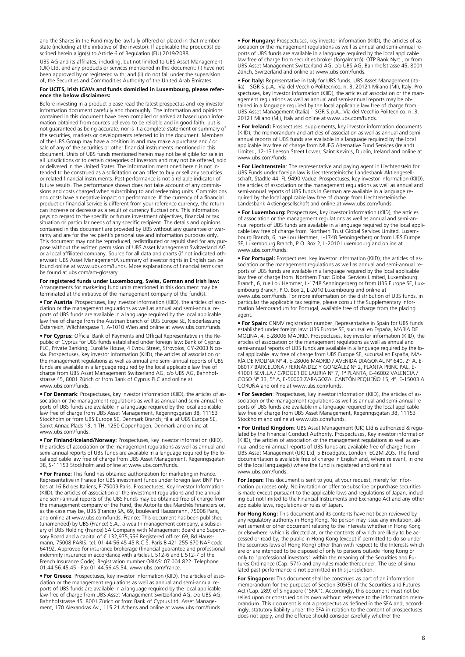and the Shares in the Fund may be lawfully offered or placed in that member state (including at the initiative of the investor). If applicable the product(s) described herein align(s) to Article 6 of Regulation (EU) 2019/2088.

UBS AG and its affiliates, including, but not limited to UBS Asset Management (UK) Ltd, and any products or services mentioned in this document: (i) have not been approved by or registered with; and (ii) do not fall under the supervision of, the Securities and Commodities Authority of the United Arab Emirates.

#### **For UCITS, Irish ICAVs and funds domiciled in Luxembourg, please reference the below disclaimers:**

Before investing in a product please read the latest prospectus and key investor information document carefully and thoroughly. The information and opinions contained in this document have been compiled or arrived at based upon information obtained from sources believed to be reliable and in good faith, but is not guaranteed as being accurate, nor is it a complete statement or summary of the securities, markets or developments referred to in the document. Members of the UBS Group may have a position in and may make a purchase and / or sale of any of the securities or other financial instruments mentioned in this document. Units of UBS funds mentioned herein may not be eligible for sale in all jurisdictions or to certain categories of investors and may not be offered, sold or delivered in the United States. The information mentioned herein is not intended to be construed as a solicitation or an offer to buy or sell any securities or related financial instruments. Past performance is not a reliable indicator of future results. The performance shown does not take account of any commissions and costs charged when subscribing to and redeeming units. Commissions and costs have a negative impact on performance. If the currency of a financial product or financial service is different from your reference currency, the return can increase or decrease as a result of currency fluctuations. This information pays no regard to the specific or future investment objectives, financial or tax situation or particular needs of any specific recipient. The details and opinions contained in this document are provided by UBS without any guarantee or warranty and are for the recipient's personal use and information purposes only. This document may not be reproduced, redistributed or republished for any purpose without the written permission of UBS Asset Management Switzerland AG or a local affiliated company. Source for all data and charts (if not indicated otherwise): UBS Asset ManagementA summary of investor rights in English can be found online at www.ubs.com/funds. More explanations of financial terms can be found at ubs.com/am-glossary

#### **For registered funds under Luxembourg, Swiss, German and Irish law:** Arrangements for marketing fund units mentioned in this document may be terminated at the initiative of the management company of the fund(s).

• **For Austria**: Prospectuses, key investor information (KIID), the articles of association or the management regulations as well as annual and semi-annual reports of UBS funds are available in a language required by the local applicable law free of charge from the Austrian branch of UBS Europe SE, Niederlassung Österreich, Wächtergasse 1, A-1010 Wien and online at www.ubs.com/funds.

• **For Cyprus:** Official Bank of Payments and Official Representative in the Republic of Cyprus for UBS funds established under foreign law: Bank of Cyprus PLC, Private Banking, Eurolife House, 4 Evrou Street, Strovolos, CY-2003 Nicosia. Prospectuses, key investor information (KIID), the articles of association or the management regulations as well as annual and semi-annual reports of UBS funds are available in a language required by the local applicable law free of charge from UBS Asset Management Switzerland AG, c/o UBS AG, Bahnhofstrasse 45, 8001 Zürich or from Bank of Cyprus PLC and online at www.ubs.com/funds.

• **For Denmark**: Prospectuses, key investor information (KIID), the articles of association or the management regulations as well as annual and semi-annual reports of UBS funds are available in a language required by the local applicable law free of charge from UBS Asset Management, Regeringsgatan 38, 11153 Stockholm or from UBS Europe SE, Denmark Branch, filial af UBS Europe SE, Sankt Annae Plads 13, 1 TH, 1250 Copenhagen, Denmark and online at www.ubs.com/funds.

• **For Finland/Iceland/Norway:** Prospectuses, key investor information (KIID), the articles of association or the management regulations as well as annual and semi-annual reports of UBS funds are available in a language required by the local applicable law free of charge from UBS Asset Management, Regeringsgatan 38, S-11153 Stockholm and online at www.ubs.com/funds.

• **For France:** This fund has obtained authorization for marketing in France. Representative in France for UBS investment funds under foreign law: BNP Paribas at 16 Bd des Italiens, F-75009 Paris. Prospectuses, Key Investor Information (KIID), the articles of association or the investment regulations and the annual and semi-annual reports of the UBS Funds may be obtained free of charge from the management company of the Fund, the Autorité des Marchés Financiers or, as the case may be, UBS (France) SA, 69, boulevard Haussmann, 75008 Paris, and online at www.ubs.com/funds. France: This document has been published (unamended) by UBS (France) S.A., a wealth management company, a subsidiary of UBS Holding (France) SA Company with Management Board and Supervisory Board and a capital of € 132,975,556.Registered office: 69, Bd Haussmann, 75008 PARIS. tel. 01 44 56 45 45 R.C.S. Paris B 421 255 670 NAF code 6419Z. Approved for insurance brokerage (financial guarantee and professional indemnity insurance in accordance with articles L 512-6 and L 512-7 of the French Insurance Code). Registration number ORIAS: 07 004 822. Telephone 01.44.56.45.45 - Fax 01.44.56.45.54. www.ubs.com/france.

**• For Greece**: Prospectuses, key investor information (KIID), the articles of association or the management regulations as well as annual and semi-annual reports of UBS funds are available in a language required by the local applicable law free of charge from UBS Asset Management Switzerland AG, c/o UBS AG, Bahnhofstrasse 45, 8001 Zürich or from Bank of Cyprus Ltd, Asset Management, 170 Alexandras Av., 115 21 Athens and online at www.ubs.com/funds.

**• For Hungary:** Prospectuses, key investor information (KIID), the articles of association or the management regulations as well as annual and semi-annual reports of UBS funds are available in a language required by the local applicable law free of charge from securities broker (forgalmazó): OTP Bank Nyrt., or from UBS Asset Management Switzerland AG, c/o UBS AG, Bahnhofstrasse 45, 8001 Zürich, Switzerland and online at www.ubs.com/funds.

**• For Italy:** Representative in Italy for UBS funds, UBS Asset Management (Italia) – SGR S.p.A., Via del Vecchio Politecnico, n. 3, 20121 Milano (MI), Italy. Prospectuses, key investor information (KIID), the articles of association or the management regulations as well as annual and semi-annual reports may be obtained in a language required by the local applicable law free of charge from UBS Asset Management (Italia) – SGR S.p.A., Via del Vecchio Politecnico, n. 3, 20121 Milano (MI), Italy and online at www.ubs.com/funds.

**• For Ireland:** Prospectuses, supplements, key investor information documents (KIID), the memorandum and articles of association as well as annual and semiannual reports of UBS funds are available in a language required by the local applicable law free of charge from MUFG Alternative Fund Services (Ireland) Limited, 12-13 Leeson Street Lower, Saint Kevin's, Dublin, Ireland and online at www.ubs.com/funds.

**• For Liechtenstein**: The representative and paying agent in Liechtenstein for UBS Funds under foreign law is Liechtensteinische Landesbank Aktiengesellschaft, Städtle 44, FL-9490 Vaduz. Prospectuses, key investor information (KIID) the articles of association or the management regulations as well as annual and semi-annual reports of UBS funds in German are available in a language required by the local applicable law free of charge from Liechtensteinische Landesbank Aktiengesellschaft and online at www.ubs.com/funds.

**• For Luxembourg:** Prospectuses, key investor information (KIID), the articles of association or the management regulations as well as annual and semi-annual reports of UBS funds are available in a language required by the local applicable law free of charge from Northern Trust Global Services Limited, Luxembourg Branch, 6, rue Lou Hemmer, L-1748 Senningerberg or from UBS Europe SE, Luxembourg Branch, P.O. Box 2, L-2010 Luxembourg and online at www.ubs.com/funds.

**• For Portugal:** Prospectuses, key investor information (KIID), the articles of association or the management regulations as well as annual and semi-annual reports of UBS funds are available in a language required by the local applicable law free of charge from Northern Trust Global Services Limited, Luxembourg Branch, 6, rue Lou Hemmer, L-1748 Senningerberg or from UBS Europe SE, Luxembourg Branch, P.O. Box 2, L-2010 Luxembourg and online at www.ubs.com/funds. For more information on the distribution of UBS funds, in particular the applicable tax regime, please consult the Supplementary Information Memorandum for Portugal, available free of charge from the placing agent.

**• For Spain:** CNMV registration number Representative in Spain for UBS funds established under foreign law: UBS Europe SE, sucursal en España, MARÍA DE MOLINA, 4, E-28006 MADRID. Prospectuses, key investor information (KIID), the articles of association or the management regulations as well as annual and semi-annual reports of UBS funds are available in a language required by the local applicable law free of charge from UBS Europe SE, sucursal en España, MA-RÍA DE MOLINA Nº 4, E-28006 MADRID / AVENIDA DIAGONAL Nº 640, 2º A, E-08017 BARCELONA / FERNÁNDEZ Y GONZÁLEZ N° 2, PLANTA PRINCIPAL, E-<br>41001 SEVILLA / C/ROGER DE LAURIA N° 7, 1ª PLANTA, E-46002 VALENCIA / COSO Nº 33, 5º A, E-50003 ZARAGOZA, CANTÓN PEQUEÑO 15, 4º, E-15003 A CORUÑA and online at www.ubs.com/funds.

**• For Sweden**: Prospectuses, key investor information (KIID), the articles of association or the management regulations as well as annual and semi-annual reports of UBS funds are available in a language required by the local applicable law free of charge from UBS Asset Management, Regeringsgatan 38, 11153 Stockholm and online at www.ubs.com/funds.

**• For United Kingdom**: UBS Asset Management (UK) Ltd is authorized & regulated by the Financial Conduct Authority. Prospectuses, Key investor information (KIID), the articles of association or the management regulations as well as annual and semi-annual reports of UBS funds are available free of charge from UBS Asset Management (UK) Ltd, 5 Broadgate, London, EC2M 2QS. The fund documentation is available free of charge in English and, where relevant, in one of the local language(s) where the fund is registered and online at www.ubs.com/funds.

**For Japan:** This document is sent to you, at your request, merely for information purposes only. No invitation or offer to subscribe or purchase securities is made except pursuant to the applicable laws and regulations of Japan, including but not limited to the Financial Instruments and Exchange Act and any other applicable laws, regulations or rules of Japan.

**For Hong Kong:** This document and its contents have not been reviewed by any regulatory authority in Hong Kong. No person may issue any invitation, advertisement or other document relating to the Interests whether in Hong Kong or elsewhere, which is directed at, or the contents of which are likely to be accessed or read by, the public in Hong Kong (except if permitted to do so under the securities laws of Hong Kong) other than with respect to the Interests which are or are intended to be disposed of only to persons outside Hong Kong or only to "professional investors" within the meaning of the Securities and Futures Ordinance (Cap. 571) and any rules made thereunder. The use of simulated past performance is not permitted in this jurisdiction.

**For Singapore:** This document shall be construed as part of an information memorandum for the purposes of Section 305(5) of the Securities and Futures Act (Cap. 289) of Singapore ("SFA"). Accordingly, this document must not be relied upon or construed on its own without reference to the information memorandum. This document is not a prospectus as defined in the SFA and, accord-ingly, statutory liability under the SFA in relation to the content of prospectuses does not apply, and the offeree should consider carefully whether the